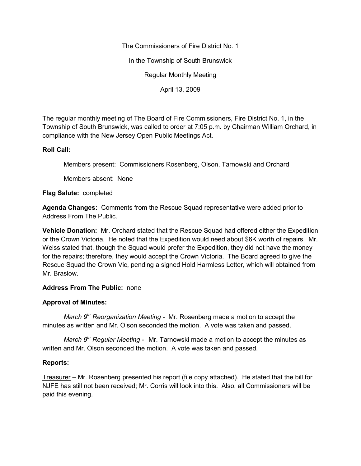The Commissioners of Fire District No. 1

In the Township of South Brunswick

Regular Monthly Meeting

April 13, 2009

The regular monthly meeting of The Board of Fire Commissioners, Fire District No. 1, in the Township of South Brunswick, was called to order at 7:05 p.m. by Chairman William Orchard, in compliance with the New Jersey Open Public Meetings Act.

# **Roll Call:**

Members present: Commissioners Rosenberg, Olson, Tarnowski and Orchard

Members absent: None

### **Flag Salute:** completed

**Agenda Changes:** Comments from the Rescue Squad representative were added prior to Address From The Public.

**Vehicle Donation:** Mr. Orchard stated that the Rescue Squad had offered either the Expedition or the Crown Victoria. He noted that the Expedition would need about \$6K worth of repairs. Mr. Weiss stated that, though the Squad would prefer the Expedition, they did not have the money for the repairs; therefore, they would accept the Crown Victoria. The Board agreed to give the Rescue Squad the Crown Vic, pending a signed Hold Harmless Letter, which will obtained from Mr. Braslow.

# **Address From The Public:** none

# **Approval of Minutes:**

*March 9th Reorganization Meeting -* Mr. Rosenberg made a motion to accept the minutes as written and Mr. Olson seconded the motion. A vote was taken and passed.

*March 9th Regular Meeting -* Mr. Tarnowski made a motion to accept the minutes as written and Mr. Olson seconded the motion. A vote was taken and passed.

# **Reports:**

Treasurer – Mr. Rosenberg presented his report (file copy attached). He stated that the bill for NJFE has still not been received; Mr. Corris will look into this. Also, all Commissioners will be paid this evening.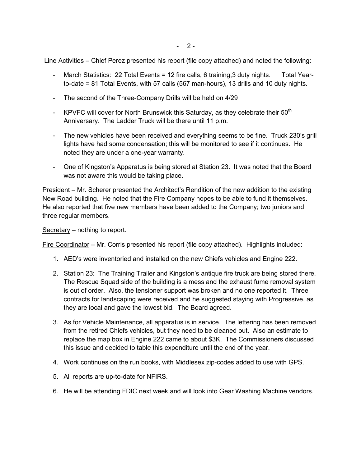Line Activities – Chief Perez presented his report (file copy attached) and noted the following:

- March Statistics: 22 Total Events = 12 fire calls, 6 training, 3 duty nights. Total Yearto-date = 81 Total Events, with 57 calls (567 man-hours), 13 drills and 10 duty nights.
- The second of the Three-Company Drills will be held on 4/29
- KPVFC will cover for North Brunswick this Saturday, as they celebrate their  $50<sup>th</sup>$ Anniversary. The Ladder Truck will be there until 11 p.m.
- The new vehicles have been received and everything seems to be fine. Truck 230's grill lights have had some condensation; this will be monitored to see if it continues. He noted they are under a one-year warranty.
- One of Kingston's Apparatus is being stored at Station 23. It was noted that the Board was not aware this would be taking place.

President – Mr. Scherer presented the Architect's Rendition of the new addition to the existing New Road building. He noted that the Fire Company hopes to be able to fund it themselves. He also reported that five new members have been added to the Company; two juniors and three regular members.

Secretary – nothing to report.

Fire Coordinator – Mr. Corris presented his report (file copy attached). Highlights included:

- 1. AED's were inventoried and installed on the new Chiefs vehicles and Engine 222.
- 2. Station 23: The Training Trailer and Kingston's antique fire truck are being stored there. The Rescue Squad side of the building is a mess and the exhaust fume removal system is out of order. Also, the tensioner support was broken and no one reported it. Three contracts for landscaping were received and he suggested staying with Progressive, as they are local and gave the lowest bid. The Board agreed.
- 3. As for Vehicle Maintenance, all apparatus is in service. The lettering has been removed from the retired Chiefs vehicles, but they need to be cleaned out. Also an estimate to replace the map box in Engine 222 came to about \$3K. The Commissioners discussed this issue and decided to table this expenditure until the end of the year.
- 4. Work continues on the run books, with Middlesex zip-codes added to use with GPS.
- 5. All reports are up-to-date for NFIRS.
- 6. He will be attending FDIC next week and will look into Gear Washing Machine vendors.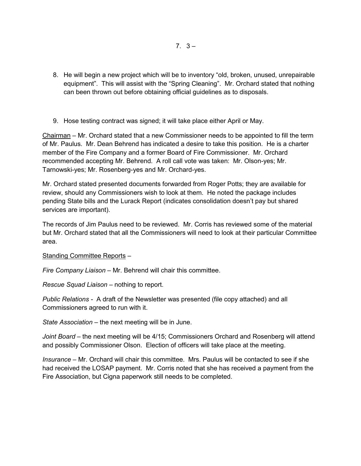- 8. He will begin a new project which will be to inventory "old, broken, unused, unrepairable equipment". This will assist with the "Spring Cleaning". Mr. Orchard stated that nothing can been thrown out before obtaining official guidelines as to disposals.
- 9. Hose testing contract was signed; it will take place either April or May.

Chairman – Mr. Orchard stated that a new Commissioner needs to be appointed to fill the term of Mr. Paulus. Mr. Dean Behrend has indicated a desire to take this position. He is a charter member of the Fire Company and a former Board of Fire Commissioner. Mr. Orchard recommended accepting Mr. Behrend. A roll call vote was taken: Mr. Olson-yes; Mr. Tarnowski-yes; Mr. Rosenberg-yes and Mr. Orchard-yes.

Mr. Orchard stated presented documents forwarded from Roger Potts; they are available for review, should any Commissioners wish to look at them. He noted the package includes pending State bills and the Lurack Report (indicates consolidation doesn't pay but shared services are important).

The records of Jim Paulus need to be reviewed. Mr. Corris has reviewed some of the material but Mr. Orchard stated that all the Commissioners will need to look at their particular Committee area.

### Standing Committee Reports –

*Fire Company Liaison –* Mr. Behrend will chair this committee.

*Rescue Squad Liaison –* nothing to report.

*Public Relations -* A draft of the Newsletter was presented (file copy attached) and all Commissioners agreed to run with it.

*State Association –* the next meeting will be in June.

*Joint Board –* the next meeting will be 4/15; Commissioners Orchard and Rosenberg will attend and possibly Commissioner Olson. Election of officers will take place at the meeting.

*Insurance –* Mr. Orchard will chair this committee. Mrs. Paulus will be contacted to see if she had received the LOSAP payment. Mr. Corris noted that she has received a payment from the Fire Association, but Cigna paperwork still needs to be completed.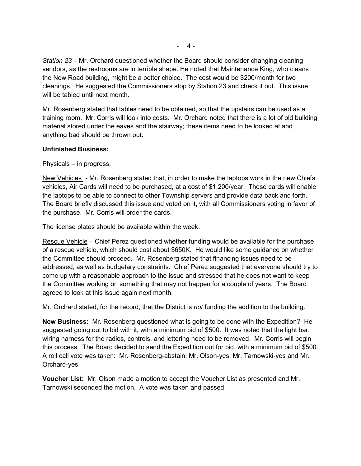*Station 23 –* Mr. Orchard questioned whether the Board should consider changing cleaning vendors, as the restrooms are in terrible shape. He noted that Maintenance King, who cleans the New Road building, might be a better choice. The cost would be \$200/month for two cleanings. He suggested the Commissioners stop by Station 23 and check it out. This issue will be tabled until next month.

Mr. Rosenberg stated that tables need to be obtained, so that the upstairs can be used as a training room. Mr. Corris will look into costs. Mr. Orchard noted that there is a lot of old building material stored under the eaves and the stairway; these items need to be looked at and anything bad should be thrown out.

# **Unfinished Business:**

Physicals – in progress.

New Vehicles - Mr. Rosenberg stated that, in order to make the laptops work in the new Chiefs vehicles, Air Cards will need to be purchased, at a cost of \$1,200/year. These cards will enable the laptops to be able to connect to other Township servers and provide data back and forth. The Board briefly discussed this issue and voted on it, with all Commissioners voting in favor of the purchase. Mr. Corris will order the cards.

The license plates should be available within the week.

Rescue Vehicle – Chief Perez questioned whether funding would be available for the purchase of a rescue vehicle, which should cost about \$650K. He would like some guidance on whether the Committee should proceed. Mr. Rosenberg stated that financing issues need to be addressed, as well as budgetary constraints. Chief Perez suggested that everyone should try to come up with a reasonable approach to the issue and stressed that he does not want to keep the Committee working on something that may not happen for a couple of years. The Board agreed to look at this issue again next month.

Mr. Orchard stated, for the record, that the District is *not* funding the addition to the building.

**New Business:** Mr. Rosenberg questioned what is going to be done with the Expedition? He suggested going out to bid with it, with a minimum bid of \$500. It was noted that the light bar, wiring harness for the radios, controls, and lettering need to be removed. Mr. Corris will begin this process. The Board decided to send the Expedition out for bid, with a minimum bid of \$500. A roll call vote was taken: Mr. Rosenberg-abstain; Mr. Olson-yes; Mr. Tarnowski-yes and Mr. Orchard-yes.

**Voucher List:** Mr. Olson made a motion to accept the Voucher List as presented and Mr. Tarnowski seconded the motion. A vote was taken and passed.